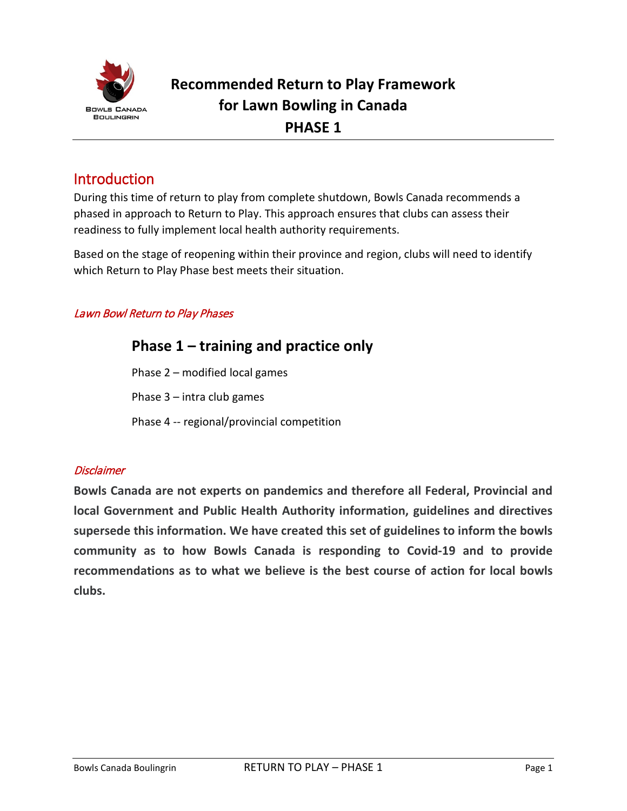

### Introduction

During this time of return to play from complete shutdown, Bowls Canada recommends a phased in approach to Return to Play. This approach ensures that clubs can assess their readiness to fully implement local health authority requirements.

Based on the stage of reopening within their province and region, clubs will need to identify which Return to Play Phase best meets their situation.

#### Lawn Bowl Return to Play Phases

#### **Disclaimer**

**Bowls Canada are not experts on pandemics and therefore all Federal, Provincial and local Government and Public Health Authority information, guidelines and directives supersede this information. We have created this set of guidelines to inform the bowls community as to how Bowls Canada is responding to Covid-19 and to provide recommendations as to what we believe is the best course of action for local bowls clubs.**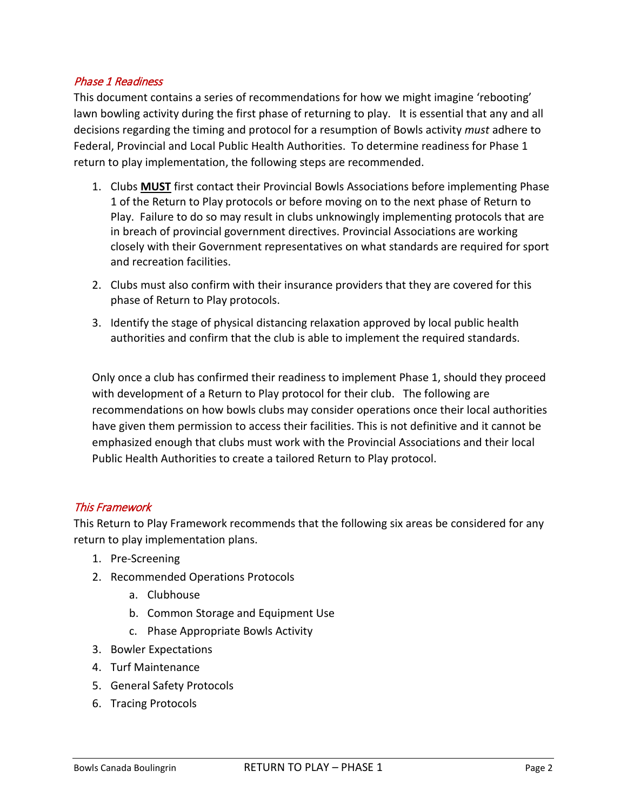#### Phase 1 Readiness

This document contains a series of recommendations for how we might imagine 'rebooting' lawn bowling activity during the first phase of returning to play. It is essential that any and all decisions regarding the timing and protocol for a resumption of Bowls activity *must* adhere to Federal, Provincial and Local Public Health Authorities. To determine readiness for Phase 1 return to play implementation, the following steps are recommended.

- 1. Clubs **MUST** first contact their Provincial Bowls Associations before implementing Phase 1 of the Return to Play protocols or before moving on to the next phase of Return to Play. Failure to do so may result in clubs unknowingly implementing protocols that are in breach of provincial government directives. Provincial Associations are working closely with their Government representatives on what standards are required for sport and recreation facilities.
- 2. Clubs must also confirm with their insurance providers that they are covered for this phase of Return to Play protocols.
- 3. Identify the stage of physical distancing relaxation approved by local public health authorities and confirm that the club is able to implement the required standards.

Only once a club has confirmed their readiness to implement Phase 1, should they proceed with development of a Return to Play protocol for their club. The following are recommendations on how bowls clubs may consider operations once their local authorities have given them permission to access their facilities. This is not definitive and it cannot be emphasized enough that clubs must work with the Provincial Associations and their local Public Health Authorities to create a tailored Return to Play protocol.

#### This Framework

This Return to Play Framework recommends that the following six areas be considered for any return to play implementation plans.

- 1. Pre-Screening
- 2. Recommended Operations Protocols
	- a. Clubhouse
	- b. Common Storage and Equipment Use
	- c. Phase Appropriate Bowls Activity
- 3. Bowler Expectations
- 4. Turf Maintenance
- 5. General Safety Protocols
- 6. Tracing Protocols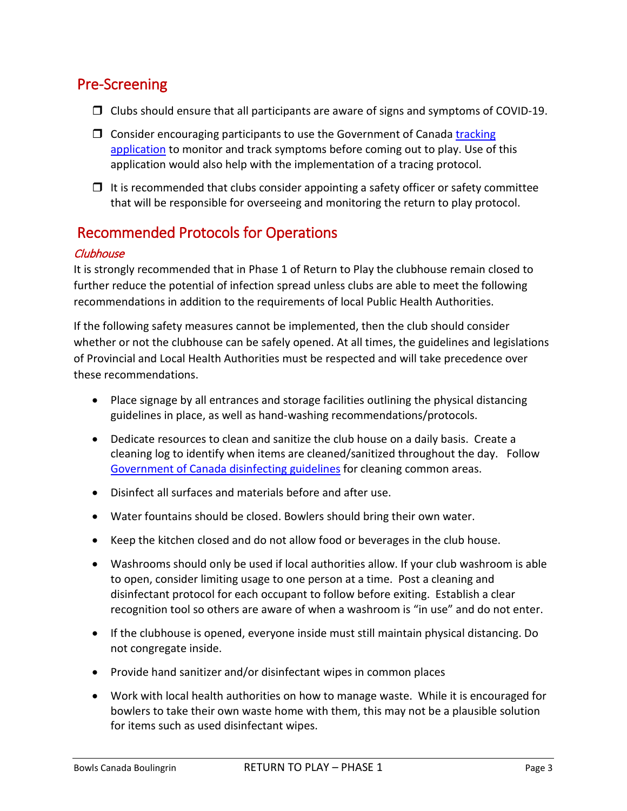# Pre-Screening

- $\Box$  Clubs should ensure that all participants are aware of signs and symptoms of COVID-19.
- $\Box$  Consider encouraging participants to use the Government of Canada tracking [application](https://ca.thrive.health/) to monitor and track symptoms before coming out to play. Use of this application would also help with the implementation of a tracing protocol.
- $\Box$  It is recommended that clubs consider appointing a safety officer or safety committee that will be responsible for overseeing and monitoring the return to play protocol.

# Recommended Protocols for Operations

#### **Clubhouse**

It is strongly recommended that in Phase 1 of Return to Play the clubhouse remain closed to further reduce the potential of infection spread unless clubs are able to meet the following recommendations in addition to the requirements of local Public Health Authorities.

If the following safety measures cannot be implemented, then the club should consider whether or not the clubhouse can be safely opened. At all times, the guidelines and legislations of Provincial and Local Health Authorities must be respected and will take precedence over these recommendations.

- Place signage by all entrances and storage facilities outlining the physical distancing guidelines in place, as well as hand-washing recommendations/protocols.
- Dedicate resources to [clean and sanitize](https://www.canada.ca/en/public-health/services/publications/diseases-conditions/cleaning-disinfecting-public-spaces.html) the club house on a daily basis. Create a cleaning log to identify when items are cleaned/sanitized throughout the day. Follow [Government of Canada](https://www.canada.ca/en/public-health/services/publications/diseases-conditions/cleaning-disinfecting-public-spaces.html) disinfecting guidelines for cleaning common areas.
- Disinfect all surfaces and materials before and after use.
- Water fountains should be closed. Bowlers should bring their own water.
- Keep the kitchen closed and do not allow food or beverages in the club house.
- Washrooms should only be used if local authorities allow. If your club washroom is able to open, consider limiting usage to one person at a time. Post a cleaning and disinfectant protocol for each occupant to follow before exiting. Establish a clear recognition tool so others are aware of when a washroom is "in use" and do not enter.
- If the clubhouse is opened, everyone inside must still maintain physical distancing. Do not congregate inside.
- Provide hand sanitizer and/or disinfectant wipes in common places
- Work with local health authorities on how to manage waste. While it is encouraged for bowlers to take their own waste home with them, this may not be a plausible solution for items such as used disinfectant wipes.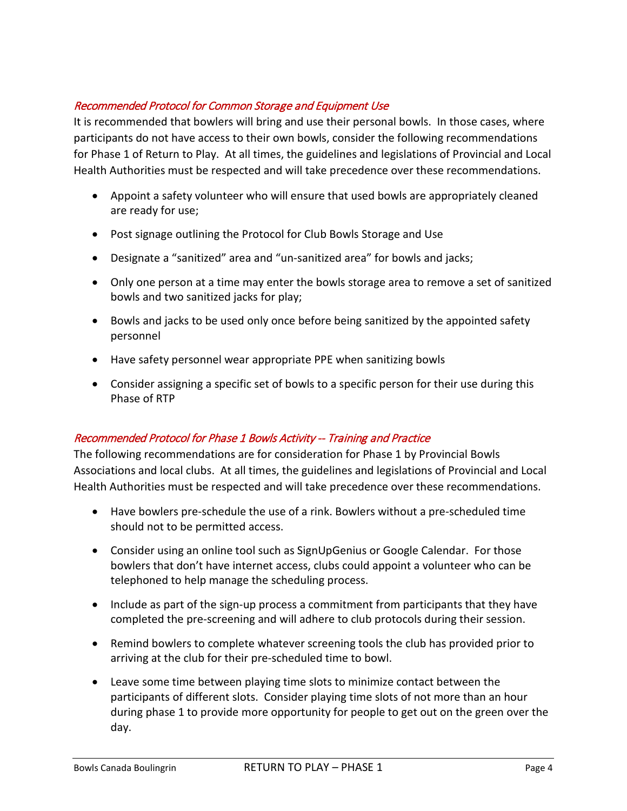#### Recommended Protocol for Common Storage and Equipment Use

It is recommended that bowlers will bring and use their personal bowls. In those cases, where participants do not have access to their own bowls, consider the following recommendations for Phase 1 of Return to Play. At all times, the guidelines and legislations of Provincial and Local Health Authorities must be respected and will take precedence over these recommendations.

- Appoint a safety volunteer who will ensure that used bowls are appropriately cleaned are ready for use;
- Post signage outlining the Protocol for Club Bowls Storage and Use
- Designate a "sanitized" area and "un-sanitized area" for bowls and jacks;
- Only one person at a time may enter the bowls storage area to remove a set of sanitized bowls and two sanitized jacks for play;
- Bowls and jacks to be used only once before being sanitized by the appointed safety personnel
- Have safety personnel wear appropriate PPE when sanitizing bowls
- Consider assigning a specific set of bowls to a specific person for their use during this Phase of RTP

#### Recommended Protocol for Phase 1 Bowls Activity -- Training and Practice

The following recommendations are for consideration for Phase 1 by Provincial Bowls Associations and local clubs. At all times, the guidelines and legislations of Provincial and Local Health Authorities must be respected and will take precedence over these recommendations.

- Have bowlers pre-schedule the use of a rink. Bowlers without a pre-scheduled time should not to be permitted access.
- Consider using an online tool such as SignUpGenius or Google Calendar. For those bowlers that don't have internet access, clubs could appoint a volunteer who can be telephoned to help manage the scheduling process.
- Include as part of the sign-up process a commitment from participants that they have completed the pre-screening and will adhere to club protocols during their session.
- Remind bowlers to complete whatever screening tools the club has provided prior to arriving at the club for their pre-scheduled time to bowl.
- Leave some time between playing time slots to minimize contact between the participants of different slots. Consider playing time slots of not more than an hour during phase 1 to provide more opportunity for people to get out on the green over the day.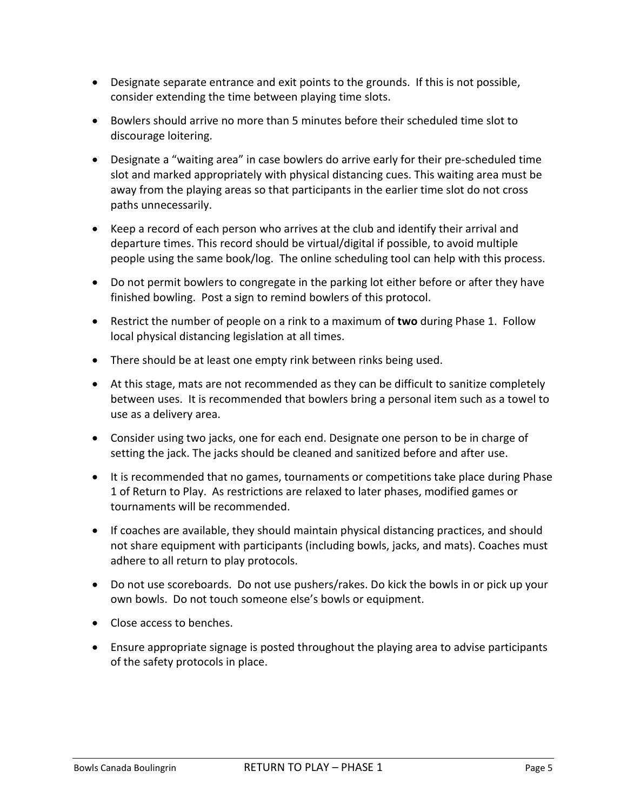- Designate separate entrance and exit points to the grounds. If this is not possible, consider extending the time between playing time slots.
- Bowlers should arrive no more than 5 minutes before their scheduled time slot to discourage loitering.
- Designate a "waiting area" in case bowlers do arrive early for their pre-scheduled time slot and marked appropriately with physical distancing cues. This waiting area must be away from the playing areas so that participants in the earlier time slot do not cross paths unnecessarily.
- Keep a record of each person who arrives at the club and identify their arrival and departure times. This record should be virtual/digital if possible, to avoid multiple people using the same book/log. The online scheduling tool can help with this process.
- Do not permit bowlers to congregate in the parking lot either before or after they have finished bowling. Post a sign to remind bowlers of this protocol.
- Restrict the number of people on a rink to a maximum of **two** during Phase 1. Follow local physical distancing legislation at all times.
- There should be at least one empty rink between rinks being used.
- At this stage, mats are not recommended as they can be difficult to sanitize completely between uses. It is recommended that bowlers bring a personal item such as a towel to use as a delivery area.
- Consider using two jacks, one for each end. Designate one person to be in charge of setting the jack. The jacks should be cleaned and sanitized before and after use.
- It is recommended that no games, tournaments or competitions take place during Phase 1 of Return to Play. As restrictions are relaxed to later phases, modified games or tournaments will be recommended.
- If coaches are available, they should maintain physical distancing practices, and should not share equipment with participants (including bowls, jacks, and mats). Coaches must adhere to all return to play protocols.
- Do not use scoreboards. Do not use pushers/rakes. Do kick the bowls in or pick up your own bowls. Do not touch someone else's bowls or equipment.
- Close access to benches.
- Ensure appropriate signage is posted throughout the playing area to advise participants of the safety protocols in place.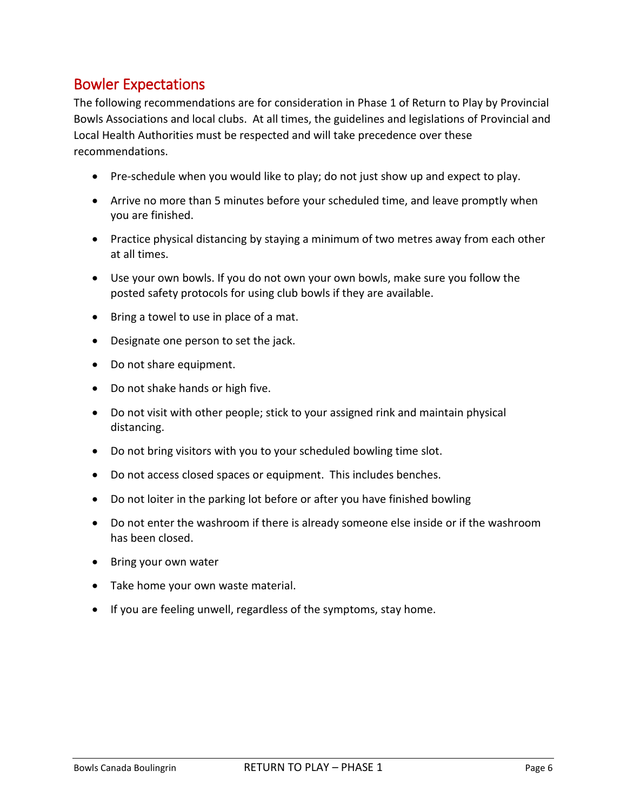# Bowler Expectations

The following recommendations are for consideration in Phase 1 of Return to Play by Provincial Bowls Associations and local clubs. At all times, the guidelines and legislations of Provincial and Local Health Authorities must be respected and will take precedence over these recommendations.

- Pre-schedule when you would like to play; do not just show up and expect to play.
- Arrive no more than 5 minutes before your scheduled time, and leave promptly when you are finished.
- Practice physical distancing by staying a minimum of two metres away from each other at all times.
- Use your own bowls. If you do not own your own bowls, make sure you follow the posted safety protocols for using club bowls if they are available.
- Bring a towel to use in place of a mat.
- Designate one person to set the jack.
- Do not share equipment.
- Do not shake hands or high five.
- Do not visit with other people; stick to your assigned rink and maintain physical distancing.
- Do not bring visitors with you to your scheduled bowling time slot.
- Do not access closed spaces or equipment. This includes benches.
- Do not loiter in the parking lot before or after you have finished bowling
- Do not enter the washroom if there is already someone else inside or if the washroom has been closed.
- Bring your own water
- Take home your own waste material.
- If you are feeling unwell, regardless of the symptoms, stay home.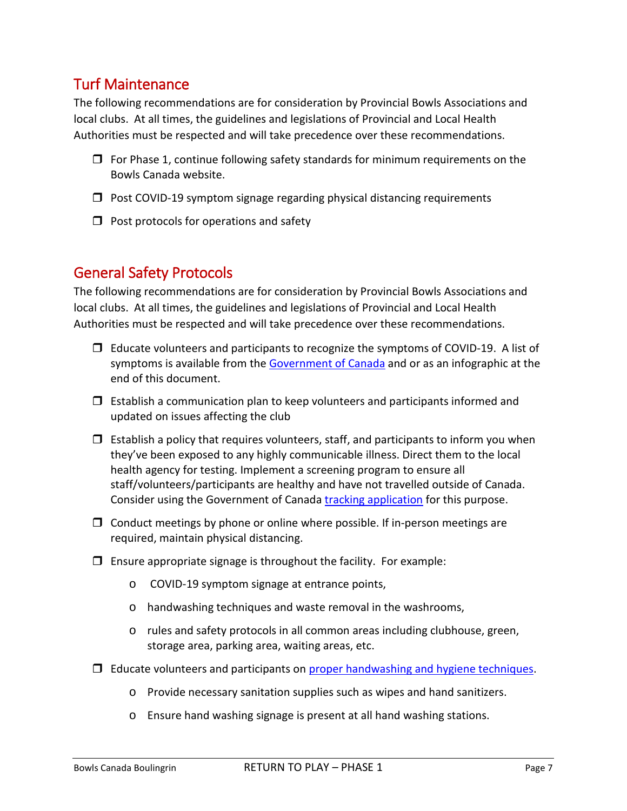# Turf Maintenance

The following recommendations are for consideration by Provincial Bowls Associations and local clubs. At all times, the guidelines and legislations of Provincial and Local Health Authorities must be respected and will take precedence over these recommendations.

- $\Box$  For Phase 1, continue following safety standards for minimum requirements on the Bowls Canada website.
- $\Box$  Post COVID-19 symptom signage regarding physical distancing requirements
- $\Box$  Post protocols for operations and safety

### General Safety Protocols

The following recommendations are for consideration by Provincial Bowls Associations and local clubs. At all times, the guidelines and legislations of Provincial and Local Health Authorities must be respected and will take precedence over these recommendations.

- $\Box$  Educate volunteers and participants to recognize the symptoms of COVID-19. A list of symptoms is available from the [Government of Canada](https://www.canada.ca/en/public-health/services/diseases/2019-novel-coronavirus-infection/symptoms.html?topic=tilelink) and or as an infographic at the end of this document.
- $\Box$  Establish a communication plan to keep volunteers and participants informed and updated on issues affecting the club
- $\Box$  Establish a policy that requires volunteers, staff, and participants to inform you when they've been exposed to any highly communicable illness. Direct them to the local health agency for testing. Implement a screening program to ensure all staff/volunteers/participants are healthy and have not travelled outside of Canada. Consider using the Government of Canada [tracking application](https://ca.thrive.health/) for this purpose.
- $\Box$  Conduct meetings by phone or online where possible. If in-person meetings are required, maintain physical distancing.
- $\Box$  Ensure appropriate signage is throughout the facility. For example:
	- o COVID-19 symptom signage at entrance points,
	- o handwashing techniques and waste removal in the washrooms,
	- o rules and safety protocols in all common areas including clubhouse, green, storage area, parking area, waiting areas, etc.
- $\Box$  Educate volunteers and participants on [proper handwashing and hygiene techniques.](https://www.canada.ca/en/public-health/services/publications/diseases-conditions/reduce-spread-covid-19-wash-your-hands.html)
	- o Provide necessary sanitation supplies such as wipes and hand sanitizers.
	- o Ensure hand washing signage is present at all hand washing stations.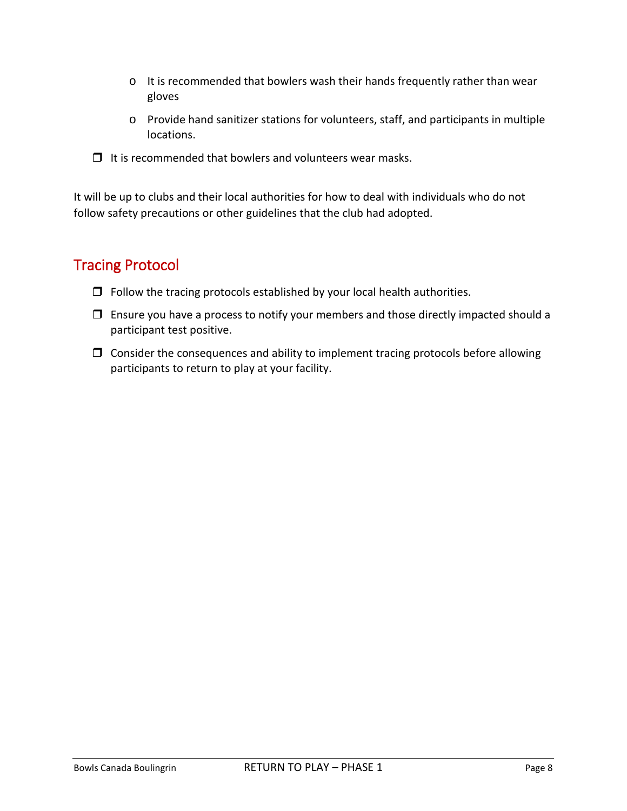- o It is recommended that bowlers wash their hands frequently rather than wear gloves
- o Provide hand sanitizer stations for volunteers, staff, and participants in multiple locations.
- $\Box$  It is recommended that bowlers and volunteers wear masks.

It will be up to clubs and their local authorities for how to deal with individuals who do not follow safety precautions or other guidelines that the club had adopted.

# Tracing Protocol

- $\Box$  Follow the tracing protocols established by your local health authorities.
- $\Box$  Ensure you have a process to notify your members and those directly impacted should a participant test positive.
- $\Box$  Consider the consequences and ability to implement tracing protocols before allowing participants to return to play at your facility.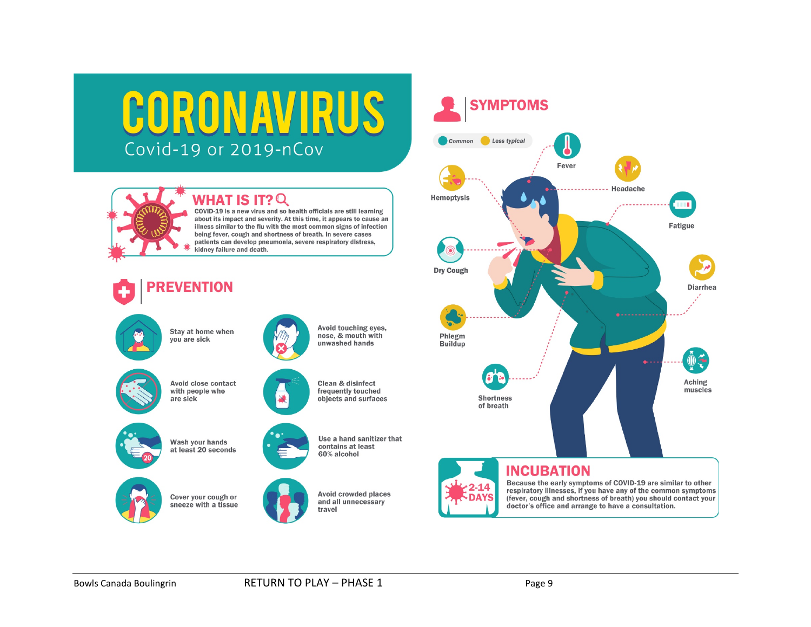# CORONAVIRUS Covid-19 or 2019-nCov



#### **WHAT IS IT? Q**

COVID-19 is a new virus and so health officials are still learning about its impact and severity. At this time, it appears to cause an illness similar to the flu with the most common signs of infection being fever, cough and shortness of breath. In severe cases patients can develop pneumonia, severe respiratory distress, kidney failure and death.



you are sick





Wash your hands at least 20 seconds









contains at least 60% alcohol

Avoid touching eyes,

nose, & mouth with

unwashed hands

Clean & disinfect

frequently touched

objects and surfaces





# **INCUBATION**

 $2 - 14$ 

**DAYS** 

Because the early symptoms of COVID-19 are similar to other respiratory illnesses, if you have any of the common symptoms (fever, cough and shortness of breath) you should contact your doctor's office and arrange to have a consultation.